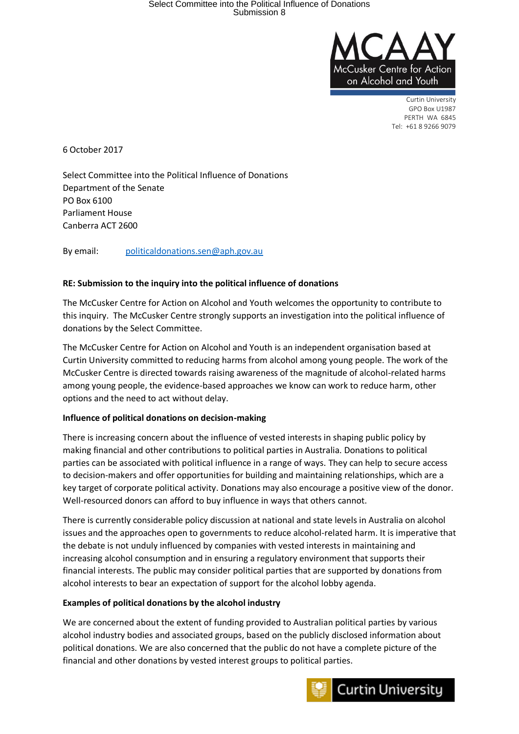

Curtin University GPO Box U1987 PERTH WA 6845 Tel: +61 8 9266 9079

6 October 2017

Select Committee into the Political Influence of Donations Department of the Senate PO Box 6100 Parliament House Canberra ACT 2600

By email: [politicaldonations.sen@aph.gov.au](mailto:politicaldonations.sen@aph.gov.au)

### **RE: Submission to the inquiry into the political influence of donations**

The McCusker Centre for Action on Alcohol and Youth welcomes the opportunity to contribute to this inquiry. The McCusker Centre strongly supports an investigation into the political influence of donations by the Select Committee.

The McCusker Centre for Action on Alcohol and Youth is an independent organisation based at Curtin University committed to reducing harms from alcohol among young people. The work of the McCusker Centre is directed towards raising awareness of the magnitude of alcohol-related harms among young people, the evidence-based approaches we know can work to reduce harm, other options and the need to act without delay.

#### **Influence of political donations on decision-making**

There is increasing concern about the influence of vested interests in shaping public policy by making financial and other contributions to political parties in Australia. Donations to political parties can be associated with political influence in a range of ways. They can help to secure access to decision-makers and offer opportunities for building and maintaining relationships, which are a key target of corporate political activity. Donations may also encourage a positive view of the donor. Well-resourced donors can afford to buy influence in ways that others cannot.

There is currently considerable policy discussion at national and state levels in Australia on alcohol issues and the approaches open to governments to reduce alcohol-related harm. It is imperative that the debate is not unduly influenced by companies with vested interests in maintaining and increasing alcohol consumption and in ensuring a regulatory environment that supports their financial interests. The public may consider political parties that are supported by donations from alcohol interests to bear an expectation of support for the alcohol lobby agenda.

#### **Examples of political donations by the alcohol industry**

We are concerned about the extent of funding provided to Australian political parties by various alcohol industry bodies and associated groups, based on the publicly disclosed information about political donations. We are also concerned that the public do not have a complete picture of the financial and other donations by vested interest groups to political parties.

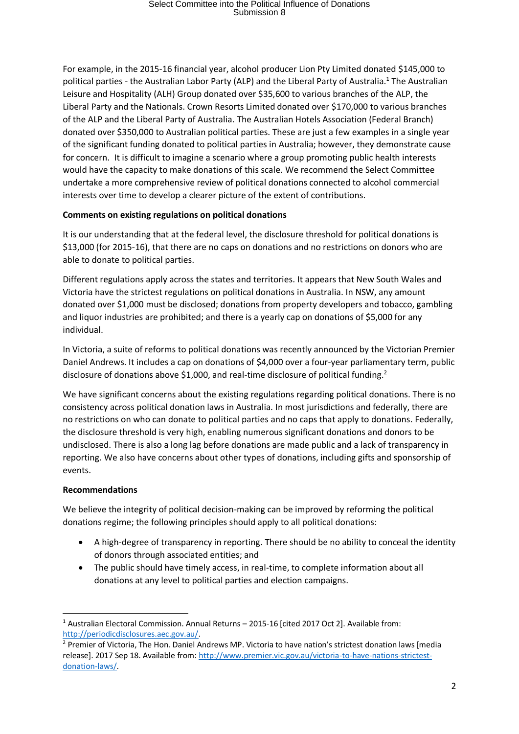# Select Committee into the Political Influence of Donations Submission 8

For example, in the 2015-16 financial year, alcohol producer Lion Pty Limited donated \$145,000 to political parties - the Australian Labor Party (ALP) and the Liberal Party of Australia.<sup>1</sup> The Australian Leisure and Hospitality (ALH) Group donated over \$35,600 to various branches of the ALP, the Liberal Party and the Nationals. Crown Resorts Limited donated over \$170,000 to various branches of the ALP and the Liberal Party of Australia. The Australian Hotels Association (Federal Branch) donated over \$350,000 to Australian political parties. These are just a few examples in a single year of the significant funding donated to political parties in Australia; however, they demonstrate cause for concern. It is difficult to imagine a scenario where a group promoting public health interests would have the capacity to make donations of this scale. We recommend the Select Committee undertake a more comprehensive review of political donations connected to alcohol commercial interests over time to develop a clearer picture of the extent of contributions.

## **Comments on existing regulations on political donations**

It is our understanding that at the federal level, the disclosure threshold for political donations is \$13,000 (for 2015-16), that there are no caps on donations and no restrictions on donors who are able to donate to political parties.

Different regulations apply across the states and territories. It appears that New South Wales and Victoria have the strictest regulations on political donations in Australia. In NSW, any amount donated over \$1,000 must be disclosed; donations from property developers and tobacco, gambling and liquor industries are prohibited; and there is a yearly cap on donations of \$5,000 for any individual.

In Victoria, a suite of reforms to political donations was recently announced by the Victorian Premier Daniel Andrews. It includes a cap on donations of \$4,000 over a four-year parliamentary term, public disclosure of donations above \$1,000, and real-time disclosure of political funding.<sup>2</sup>

We have significant concerns about the existing regulations regarding political donations. There is no consistency across political donation laws in Australia. In most jurisdictions and federally, there are no restrictions on who can donate to political parties and no caps that apply to donations. Federally, the disclosure threshold is very high, enabling numerous significant donations and donors to be undisclosed. There is also a long lag before donations are made public and a lack of transparency in reporting. We also have concerns about other types of donations, including gifts and sponsorship of events.

## **Recommendations**

We believe the integrity of political decision-making can be improved by reforming the political donations regime; the following principles should apply to all political donations:

- A high-degree of transparency in reporting. There should be no ability to conceal the identity of donors through associated entities; and
- The public should have timely access, in real-time, to complete information about all donations at any level to political parties and election campaigns.

**<sup>.</sup>** <sup>1</sup> Australian Electoral Commission. Annual Returns – 2015-16 [cited 2017 Oct 2]. Available from: [http://periodicdisclosures.aec.gov.au/.](http://periodicdisclosures.aec.gov.au/)

<sup>&</sup>lt;sup>2</sup> Premier of Victoria, The Hon. Daniel Andrews MP. Victoria to have nation's strictest donation laws [media release]. 2017 Sep 18. Available from: [http://www.premier.vic.gov.au/victoria-to-have-nations-strictest](http://www.premier.vic.gov.au/victoria-to-have-nations-strictest-donation-laws/)[donation-laws/.](http://www.premier.vic.gov.au/victoria-to-have-nations-strictest-donation-laws/)